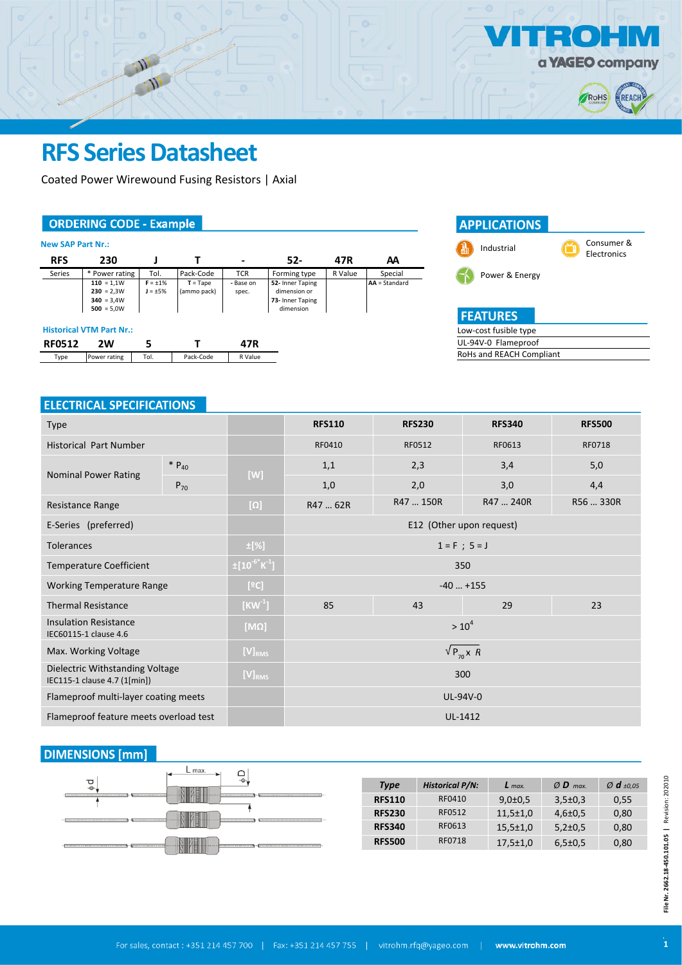

Industrial Consumer &

Electronics

Low-cost fusible type UL-94V-0 Flameproof RoHs and REACH Compliant

**FEATURES** 

Power & Energy

**APPLICATIONS** 

# **RFS Series Datasheet**

Coated Power Wirewound Fusing Resistors | Axial

#### **ORDERING CODE - Example**

| <b>New SAP Part Nr.:</b> |                                                              |                                |                           |                    |                                                                   |         |                 |
|--------------------------|--------------------------------------------------------------|--------------------------------|---------------------------|--------------------|-------------------------------------------------------------------|---------|-----------------|
| <b>RFS</b>               | 230                                                          |                                |                           | -                  | $52-$                                                             | 47R     | AΑ              |
| Series                   | * Power rating                                               | Tol.                           | Pack-Code                 | <b>TCR</b>         | Forming type                                                      | R Value | Special         |
|                          | $110 = 1,1W$<br>$230 = 2,3W$<br>$340 = 3.4W$<br>$500 = 5.0W$ | $F = \pm 1\%$<br>$J = \pm 5\%$ | $T = Tape$<br>(ammo pack) | - Base on<br>spec. | 52- Inner Taping<br>dimension or<br>73- Inner Taping<br>dimension |         | $AA = Standard$ |
|                          | <b>Historical VTM Part Nr.:</b>                              |                                |                           |                    |                                                                   |         |                 |
| <b>RF0512</b>            | 2W                                                           | 5                              |                           | 47R                |                                                                   |         |                 |
| Type                     | Power rating                                                 | Tol.                           | Pack-Code                 | R Value            |                                                                   |         |                 |

#### **ELECTRICAL SPECIFICATIONS**

| <b>Type</b>                                                     |            |                                  | <b>RFS110</b>            | <b>RFS230</b> | <b>RFS340</b> | <b>RFS500</b> |  |  |  |
|-----------------------------------------------------------------|------------|----------------------------------|--------------------------|---------------|---------------|---------------|--|--|--|
| <b>Historical Part Number</b>                                   |            |                                  | RF0410                   | RF0512        | RF0613        | <b>RF0718</b> |  |  |  |
| <b>Nominal Power Rating</b>                                     | $* P_{40}$ | [W]                              | 1,1                      | 2,3           | 3,4           | 5,0           |  |  |  |
|                                                                 | $P_{70}$   |                                  | 1,0                      | 2,0           | 3,0           | 4,4           |  |  |  |
| Resistance Range                                                |            | $[\Omega]$                       | R47  62R                 | R47  150R     | R47  240R     | R56  330R     |  |  |  |
| E-Series (preferred)                                            |            |                                  | E12 (Other upon request) |               |               |               |  |  |  |
| <b>Tolerances</b>                                               |            | $\pm$ [%]                        | $1 = F ; 5 = J$          |               |               |               |  |  |  |
| <b>Temperature Coefficient</b>                                  |            | $\pm [10^{-6}$ K <sup>-1</sup> ] | 350                      |               |               |               |  |  |  |
| <b>Working Temperature Range</b>                                |            | [°C]                             | $-40+155$                |               |               |               |  |  |  |
| <b>Thermal Resistance</b>                                       |            | $[KW^1]$                         | 85                       | 43            | 29            | 23            |  |  |  |
| <b>Insulation Resistance</b><br>IEC60115-1 clause 4.6           |            | $[M\Omega]$                      | $> 10^4$                 |               |               |               |  |  |  |
| Max. Working Voltage                                            |            | $[V]_{RMS}$                      | $\sqrt{P_{70} \times R}$ |               |               |               |  |  |  |
| Dielectric Withstanding Voltage<br>IEC115-1 clause 4.7 (1[min]) |            | $[V]_{RMS}$                      | 300                      |               |               |               |  |  |  |
| Flameproof multi-layer coating meets                            |            |                                  | UL-94V-0                 |               |               |               |  |  |  |
| Flameproof feature meets overload test                          |            |                                  | UL-1412                  |               |               |               |  |  |  |

### **DIMENSIONS** [mm]

| L max.<br>≏                                               |               |                        |                |                   |                               |
|-----------------------------------------------------------|---------------|------------------------|----------------|-------------------|-------------------------------|
| $\triangle$<br>℧<br>$\div$                                | <b>Type</b>   | <b>Historical P/N:</b> | $L$ max.       | $Ø$ <b>D</b> max. | $\varnothing$ d $_{\pm 0.05}$ |
| ---------------------<br>間                                | <b>RFS110</b> | RF0410                 | $9,0{\pm}0,5$  | $3,5 \pm 0,3$     | 0,55                          |
| <b>CONTRACTOR</b> CONTRACTOR<br><b>******************</b> | <b>RFS230</b> | RF0512                 | $11,5 \pm 1,0$ | $4,6 \pm 0,5$     | 0,80                          |
| 間                                                         | <b>RFS340</b> | RF0613                 | $15,5 \pm 1,0$ | $5,2\pm0,5$       | 0,80                          |
| <br><br>                                                  | <b>RFS500</b> | RF0718                 | $17,5 \pm 1,0$ | $6,5{\pm}0,5$     | 0,80                          |